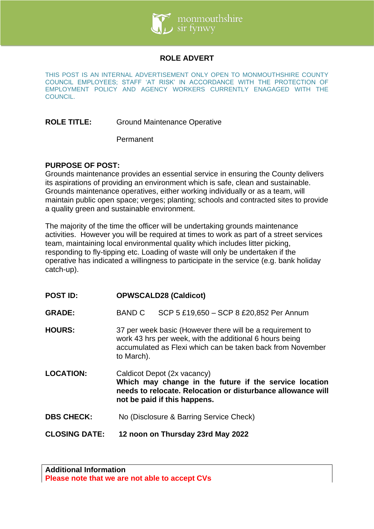

# **ROLE ADVERT**

THIS POST IS AN INTERNAL ADVERTISEMENT ONLY OPEN TO MONMOUTHSHIRE COUNTY COUNCIL EMPLOYEES; STAFF 'AT RISK' IN ACCORDANCE WITH THE PROTECTION OF EMPLOYMENT POLICY AND AGENCY WORKERS CURRENTLY ENAGAGED WITH THE COUNCIL.

### **ROLE TITLE:** Ground Maintenance Operative

Permanent

#### **PURPOSE OF POST:**

Grounds maintenance provides an essential service in ensuring the County delivers its aspirations of providing an environment which is safe, clean and sustainable. Grounds maintenance operatives, either working individually or as a team, will maintain public open space; verges; planting; schools and contracted sites to provide a quality green and sustainable environment.

The majority of the time the officer will be undertaking grounds maintenance activities. However you will be required at times to work as part of a street services team, maintaining local environmental quality which includes litter picking, responding to fly-tipping etc. Loading of waste will only be undertaken if the operative has indicated a willingness to participate in the service (e.g. bank holiday catch-up).

**POST ID: OPWSCALD28 (Caldicot)** 

**GRADE:** BAND C SCP 5 £19,650 – SCP 8 £20,852 Per Annum

**HOURS:** 37 per week basic (However there will be a requirement to work 43 hrs per week, with the additional 6 hours being accumulated as Flexi which can be taken back from November to March).

**LOCATION:** Caldicot Depot (2x vacancy) **Which may change in the future if the service location needs to relocate. Relocation or disturbance allowance will not be paid if this happens.**

**DBS CHECK:** No (Disclosure & Barring Service Check)

**CLOSING DATE: 12 noon on Thursday 23rd May 2022**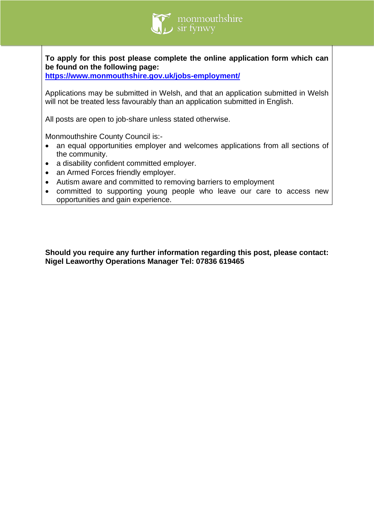

**To apply for this post please complete the online application form which can be found on the following page:**

**<https://www.monmouthshire.gov.uk/jobs-employment/>**

Applications may be submitted in Welsh, and that an application submitted in Welsh will not be treated less favourably than an application submitted in English.

All posts are open to job-share unless stated otherwise.

Monmouthshire County Council is:-

- an equal opportunities employer and welcomes applications from all sections of the community.
- a disability confident committed employer.
- an Armed Forces friendly employer.
- Autism aware and committed to removing barriers to employment
- committed to supporting young people who leave our care to access new opportunities and gain experience.

**Should you require any further information regarding this post, please contact: Nigel Leaworthy Operations Manager Tel: 07836 619465**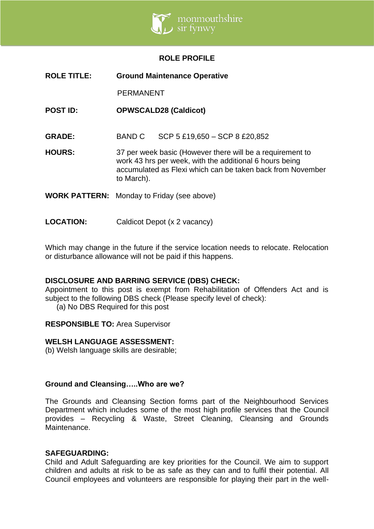

### **ROLE PROFILE**

- **ROLE TITLE: Ground Maintenance Operative**  PERMANENT **POST ID: OPWSCALD28 (Caldicot) GRADE:** BAND C SCP 5 £19,650 – SCP 8 £20,852 **HOURS:** 37 per week basic (However there will be a requirement to work 43 hrs per week, with the additional 6 hours being accumulated as Flexi which can be taken back from November to March). **WORK PATTERN:** Monday to Friday (see above)
- **LOCATION:** Caldicot Depot (x 2 vacancy)

Which may change in the future if the service location needs to relocate. Relocation or disturbance allowance will not be paid if this happens.

#### **DISCLOSURE AND BARRING SERVICE (DBS) CHECK:**

Appointment to this post is exempt from Rehabilitation of Offenders Act and is subject to the following DBS check (Please specify level of check):

(a) No DBS Required for this post

**RESPONSIBLE TO:** Area Supervisor

#### **WELSH LANGUAGE ASSESSMENT:**

(b) Welsh language skills are desirable;

#### **Ground and Cleansing…..Who are we?**

The Grounds and Cleansing Section forms part of the Neighbourhood Services Department which includes some of the most high profile services that the Council provides – Recycling & Waste, Street Cleaning, Cleansing and Grounds Maintenance.

#### **SAFEGUARDING:**

Child and Adult Safeguarding are key priorities for the Council. We aim to support children and adults at risk to be as safe as they can and to fulfil their potential. All Council employees and volunteers are responsible for playing their part in the well-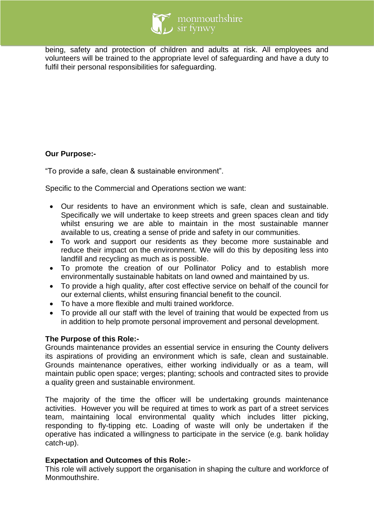

being, safety and protection of children and adults at risk. All employees and volunteers will be trained to the appropriate level of safeguarding and have a duty to fulfil their personal responsibilities for safeguarding.

### **Our Purpose:-**

"To provide a safe, clean & sustainable environment".

Specific to the Commercial and Operations section we want:

- Our residents to have an environment which is safe, clean and sustainable. Specifically we will undertake to keep streets and green spaces clean and tidy whilst ensuring we are able to maintain in the most sustainable manner available to us, creating a sense of pride and safety in our communities.
- To work and support our residents as they become more sustainable and reduce their impact on the environment. We will do this by depositing less into landfill and recycling as much as is possible.
- To promote the creation of our Pollinator Policy and to establish more environmentally sustainable habitats on land owned and maintained by us.
- To provide a high quality, after cost effective service on behalf of the council for our external clients, whilst ensuring financial benefit to the council.
- To have a more flexible and multi trained workforce.
- To provide all our staff with the level of training that would be expected from us in addition to help promote personal improvement and personal development.

# **The Purpose of this Role:-**

Grounds maintenance provides an essential service in ensuring the County delivers its aspirations of providing an environment which is safe, clean and sustainable. Grounds maintenance operatives, either working individually or as a team, will maintain public open space; verges; planting; schools and contracted sites to provide a quality green and sustainable environment.

The majority of the time the officer will be undertaking grounds maintenance activities. However you will be required at times to work as part of a street services team, maintaining local environmental quality which includes litter picking, responding to fly-tipping etc. Loading of waste will only be undertaken if the operative has indicated a willingness to participate in the service (e.g. bank holiday catch-up).

#### **Expectation and Outcomes of this Role:-**

This role will actively support the organisation in shaping the culture and workforce of Monmouthshire.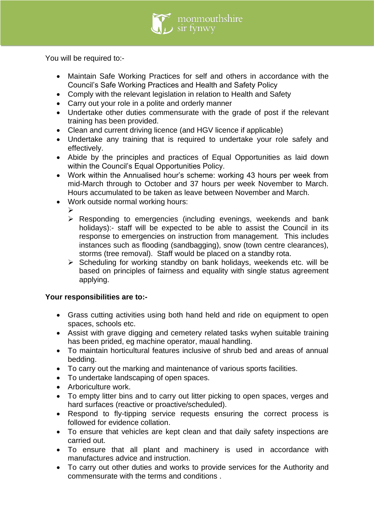

You will be required to:-

- Maintain Safe Working Practices for self and others in accordance with the Council's Safe Working Practices and Health and Safety Policy
- Comply with the relevant legislation in relation to Health and Safety
- Carry out your role in a polite and orderly manner
- Undertake other duties commensurate with the grade of post if the relevant training has been provided.
- Clean and current driving licence (and HGV licence if applicable)
- Undertake any training that is required to undertake your role safely and effectively.
- Abide by the principles and practices of Equal Opportunities as laid down within the Council's Equal Opportunities Policy.
- Work within the Annualised hour's scheme: working 43 hours per week from mid-March through to October and 37 hours per week November to March. Hours accumulated to be taken as leave between November and March.
- Work outside normal working hours:

➢

- ➢ Responding to emergencies (including evenings, weekends and bank holidays):- staff will be expected to be able to assist the Council in its response to emergencies on instruction from management. This includes instances such as flooding (sandbagging), snow (town centre clearances), storms (tree removal). Staff would be placed on a standby rota.
- ➢ Scheduling for working standby on bank holidays, weekends etc. will be based on principles of fairness and equality with single status agreement applying.

#### **Your responsibilities are to:-**

- Grass cutting activities using both hand held and ride on equipment to open spaces, schools etc.
- Assist with grave digging and cemetery related tasks wyhen suitable training has been prided, eg machine operator, maual handling.
- To maintain horticultural features inclusive of shrub bed and areas of annual bedding.
- To carry out the marking and maintenance of various sports facilities.
- To undertake landscaping of open spaces.
- Arboriculture work.
- To empty litter bins and to carry out litter picking to open spaces, verges and hard surfaces (reactive or proactive/scheduled).
- Respond to fly-tipping service requests ensuring the correct process is followed for evidence collation.
- To ensure that vehicles are kept clean and that daily safety inspections are carried out.
- To ensure that all plant and machinery is used in accordance with manufactures advice and instruction.
- To carry out other duties and works to provide services for the Authority and commensurate with the terms and conditions .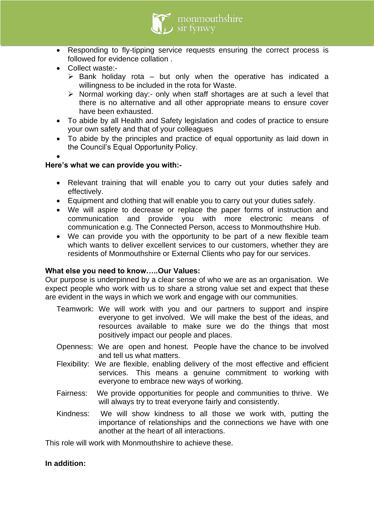

- Responding to fly-tipping service requests ensuring the correct process is followed for evidence collation .
- Collect waste:-
	- $\triangleright$  Bank holiday rota but only when the operative has indicated a willingness to be included in the rota for Waste.
	- ➢ Normal working day:- only when staff shortages are at such a level that there is no alternative and all other appropriate means to ensure cover have been exhausted.
- To abide by all Health and Safety legislation and codes of practice to ensure your own safety and that of your colleagues
- To abide by the principles and practice of equal opportunity as laid down in the Council's Equal Opportunity Policy.
- •

#### **Here's what we can provide you with:-**

- Relevant training that will enable you to carry out your duties safely and effectively.
- Equipment and clothing that will enable you to carry out your duties safely.
- We will aspire to decrease or replace the paper forms of instruction and communication and provide you with more electronic means of communication e.g. The Connected Person, access to Monmouthshire Hub.
- We can provide you with the opportunity to be part of a new flexible team which wants to deliver excellent services to our customers, whether they are residents of Monmouthshire or External Clients who pay for our services.

#### **What else you need to know…..Our Values:**

Our purpose is underpinned by a clear sense of who we are as an organisation. We expect people who work with us to share a strong value set and expect that these are evident in the ways in which we work and engage with our communities.

- Teamwork: We will work with you and our partners to support and inspire everyone to get involved. We will make the best of the ideas, and resources available to make sure we do the things that most positively impact our people and places.
- Openness: We are open and honest. People have the chance to be involved and tell us what matters.
- Flexibility: We are flexible, enabling delivery of the most effective and efficient services. This means a genuine commitment to working with everyone to embrace new ways of working.
- Fairness: We provide opportunities for people and communities to thrive. We will always try to treat everyone fairly and consistently.
- Kindness: We will show kindness to all those we work with, putting the importance of relationships and the connections we have with one another at the heart of all interactions.

This role will work with Monmouthshire to achieve these.

#### **In addition:**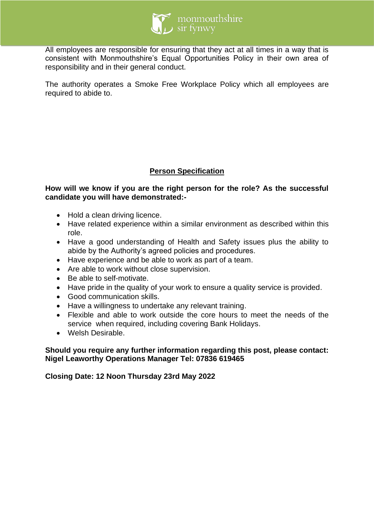

All employees are responsible for ensuring that they act at all times in a way that is consistent with Monmouthshire's Equal Opportunities Policy in their own area of responsibility and in their general conduct.

The authority operates a Smoke Free Workplace Policy which all employees are required to abide to.

# **Person Specification**

### **How will we know if you are the right person for the role? As the successful candidate you will have demonstrated:-**

- Hold a clean driving licence.
- Have related experience within a similar environment as described within this role.
- Have a good understanding of Health and Safety issues plus the ability to abide by the Authority's agreed policies and procedures.
- Have experience and be able to work as part of a team.
- Are able to work without close supervision.
- Be able to self-motivate.
- Have pride in the quality of your work to ensure a quality service is provided.
- Good communication skills.
- Have a willingness to undertake any relevant training.
- Flexible and able to work outside the core hours to meet the needs of the service when required, including covering Bank Holidays.
- Welsh Desirable.

**Should you require any further information regarding this post, please contact: Nigel Leaworthy Operations Manager Tel: 07836 619465**

**Closing Date: 12 Noon Thursday 23rd May 2022**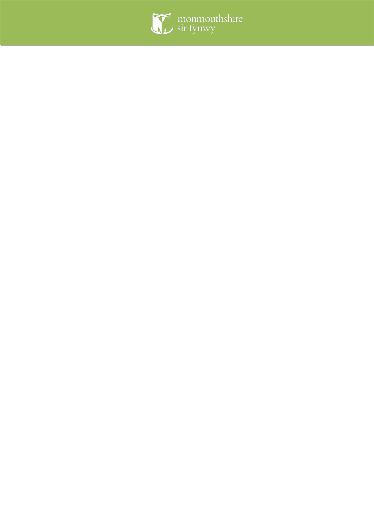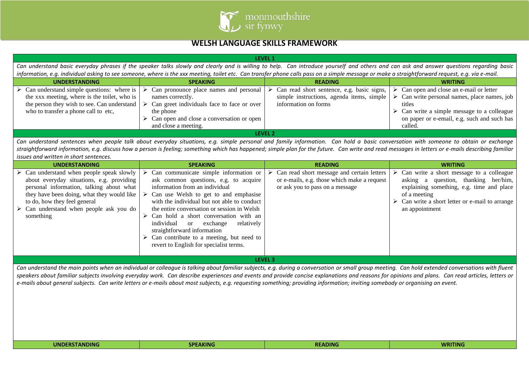

# **WELSH LANGUAGE SKILLS FRAMEWORK**

|                                                                                                                                                                                                                                                                                                                                                                                                                                                                                                                                                                                        |                                                                                                                                                                                                                                                                                                                                                                                                                                                                                                                                                                                                                                           | <b>LEVEL 1</b>                                                                                                                                     |                                                                                                                                                                                                                                                                 |  |
|----------------------------------------------------------------------------------------------------------------------------------------------------------------------------------------------------------------------------------------------------------------------------------------------------------------------------------------------------------------------------------------------------------------------------------------------------------------------------------------------------------------------------------------------------------------------------------------|-------------------------------------------------------------------------------------------------------------------------------------------------------------------------------------------------------------------------------------------------------------------------------------------------------------------------------------------------------------------------------------------------------------------------------------------------------------------------------------------------------------------------------------------------------------------------------------------------------------------------------------------|----------------------------------------------------------------------------------------------------------------------------------------------------|-----------------------------------------------------------------------------------------------------------------------------------------------------------------------------------------------------------------------------------------------------------------|--|
| Can understand basic everyday phrases if the speaker talks slowly and clearly and is willing to help. Can introduce yourself and others and can ask and answer questions regarding basic                                                                                                                                                                                                                                                                                                                                                                                               |                                                                                                                                                                                                                                                                                                                                                                                                                                                                                                                                                                                                                                           |                                                                                                                                                    |                                                                                                                                                                                                                                                                 |  |
| information, e.g. individual asking to see someone, where is the xxx meeting, toilet etc. Can transfer phone calls pass on a simple message or make a straightforward request, e.g. via e-mail.                                                                                                                                                                                                                                                                                                                                                                                        |                                                                                                                                                                                                                                                                                                                                                                                                                                                                                                                                                                                                                                           |                                                                                                                                                    |                                                                                                                                                                                                                                                                 |  |
| <b>UNDERSTANDING</b>                                                                                                                                                                                                                                                                                                                                                                                                                                                                                                                                                                   | <b>SPEAKING</b>                                                                                                                                                                                                                                                                                                                                                                                                                                                                                                                                                                                                                           | <b>READING</b>                                                                                                                                     | <b>WRITING</b>                                                                                                                                                                                                                                                  |  |
| Can understand simple questions: where is<br>➤<br>the xxx meeting, where is the toilet, who is<br>the person they wish to see. Can understand<br>who to transfer a phone call to etc,                                                                                                                                                                                                                                                                                                                                                                                                  | $\triangleright$ Can pronounce place names and personal<br>names correctly.<br>$\triangleright$ Can greet individuals face to face or over<br>the phone<br>$\triangleright$ Can open and close a conversation or open<br>and close a meeting.<br>Can understand sentences when people talk about everyday situations, e.g. simple personal and family information. Can hold a basic conversation with someone to obtain or exchange<br>straightforward information, e.g. discuss how a person is feeling; something which has happened; simple plan for the future. Can write and read messages in letters or e-mails describing familiar | $\triangleright$ Can read short sentence, e.g. basic signs,<br>simple instructions, agenda items, simple<br>information on forms<br><b>LEVEL 2</b> | $\triangleright$ Can open and close an e-mail or letter<br>$\triangleright$ Can write personal names, place names, job<br><i>titles</i><br>$\triangleright$ Can write a simple message to a colleague<br>on paper or e-email, e.g. such and such has<br>called. |  |
| issues and written in short sentences.                                                                                                                                                                                                                                                                                                                                                                                                                                                                                                                                                 |                                                                                                                                                                                                                                                                                                                                                                                                                                                                                                                                                                                                                                           |                                                                                                                                                    |                                                                                                                                                                                                                                                                 |  |
| <b>UNDERSTANDING</b>                                                                                                                                                                                                                                                                                                                                                                                                                                                                                                                                                                   | <b>SPEAKING</b>                                                                                                                                                                                                                                                                                                                                                                                                                                                                                                                                                                                                                           | <b>READING</b>                                                                                                                                     | <b>WRITING</b>                                                                                                                                                                                                                                                  |  |
| Can understand when people speak slowly<br>➤<br>about everyday situations, e.g. providing<br>personal information, talking about what<br>they have been doing, what they would like<br>to do, how they feel general<br>Can understand when people ask you do<br>something                                                                                                                                                                                                                                                                                                              | Can communicate simple information or<br>➤<br>ask common questions, e.g. to acquire<br>information from an individual<br>$\triangleright$ Can use Welsh to get to and emphasise<br>with the individual but not able to conduct<br>the entire conversation or session in Welsh<br>$\triangleright$ Can hold a short conversation with an<br>exchange<br>relatively<br>individual<br><sub>or</sub><br>straightforward information<br>$\triangleright$ Can contribute to a meeting, but need to<br>revert to English for specialist terms.                                                                                                   | Can read short message and certain letters<br>➤<br>or e-mails, e.g. those which make a request<br>or ask you to pass on a message                  | Can write a short message to a colleague<br>➤<br>asking a question, thanking her/him,<br>explaining something, e.g. time and place<br>of a meeting<br>Can write a short letter or e-mail to arrange<br>➤<br>an appointment                                      |  |
| LEVEL <sub>3</sub>                                                                                                                                                                                                                                                                                                                                                                                                                                                                                                                                                                     |                                                                                                                                                                                                                                                                                                                                                                                                                                                                                                                                                                                                                                           |                                                                                                                                                    |                                                                                                                                                                                                                                                                 |  |
| Can understand the main points when an individual or colleague is talking about familiar subjects, e.g. during a conversation or small group meeting. Can hold extended conversations with fluent<br>speakers about familiar subjects involving everyday work. Can describe experiences and events and provide concise explanations and reasons for opinions and plans. Can read articles, letters or<br>e-mails about general subjects. Can write letters or e-mails about most subjects, e.g. requesting something; providing information; inviting somebody or organising an event. |                                                                                                                                                                                                                                                                                                                                                                                                                                                                                                                                                                                                                                           |                                                                                                                                                    |                                                                                                                                                                                                                                                                 |  |
| <b>UNDERSTANDING</b>                                                                                                                                                                                                                                                                                                                                                                                                                                                                                                                                                                   | <b>SPEAKING</b>                                                                                                                                                                                                                                                                                                                                                                                                                                                                                                                                                                                                                           | <b>READING</b>                                                                                                                                     | <b>WRITING</b>                                                                                                                                                                                                                                                  |  |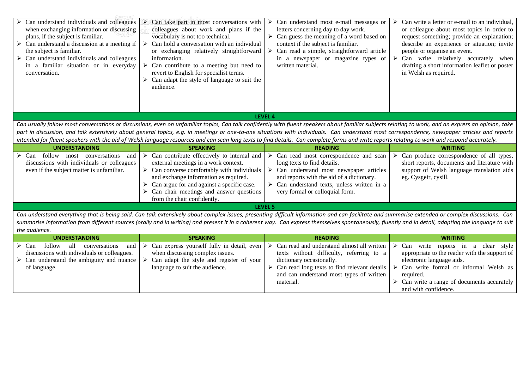| Can understand individuals and colleagues<br>when exchanging information or discussing<br>plans, if the subject is familiar.<br>$\triangleright$ Can understand a discussion at a meeting if<br>the subject is familiar.<br>$\triangleright$ Can understand individuals and colleagues<br>in a familiar situation or in everyday<br>conversation.                                                                                                                                                                                                                                                     | Can take part in most conversations with<br>colleagues about work and plans if the<br>vocabulary is not too technical.<br>Can hold a conversation with an individual<br>⋗<br>or exchanging relatively straightforward<br>information.<br>$\blacktriangleright$<br>Can contribute to a meeting but need to<br>revert to English for specialist terms.<br>$\triangleright$ Can adapt the style of language to suit the<br>audience. | Can understand most e-mail messages or<br>letters concerning day to day work.<br>$\triangleright$ Can guess the meaning of a word based on<br>context if the subject is familiar.<br>$\triangleright$ Can read a simple, straightforward article<br>in a newspaper or magazine types of<br>written material. | Can write a letter or e-mail to an individual,<br>or colleague about most topics in order to<br>request something; provide an explanation;<br>describe an experience or situation; invite<br>people or organise an event.<br>$\triangleright$ Can write relatively accurately when<br>drafting a short information leaflet or poster<br>in Welsh as required. |  |
|-------------------------------------------------------------------------------------------------------------------------------------------------------------------------------------------------------------------------------------------------------------------------------------------------------------------------------------------------------------------------------------------------------------------------------------------------------------------------------------------------------------------------------------------------------------------------------------------------------|-----------------------------------------------------------------------------------------------------------------------------------------------------------------------------------------------------------------------------------------------------------------------------------------------------------------------------------------------------------------------------------------------------------------------------------|--------------------------------------------------------------------------------------------------------------------------------------------------------------------------------------------------------------------------------------------------------------------------------------------------------------|---------------------------------------------------------------------------------------------------------------------------------------------------------------------------------------------------------------------------------------------------------------------------------------------------------------------------------------------------------------|--|
| <b>LEVEL 4</b>                                                                                                                                                                                                                                                                                                                                                                                                                                                                                                                                                                                        |                                                                                                                                                                                                                                                                                                                                                                                                                                   |                                                                                                                                                                                                                                                                                                              |                                                                                                                                                                                                                                                                                                                                                               |  |
| Can usually follow most conversations or discussions, even on unfamiliar topics, Can talk confidently with fluent speakers about familiar subjects relating to work, and an express an opinion, take<br>part in discussion, and talk extensively about general topics, e.g. in meetings or one-to-one situations with individuals. Can understand most correspondence, newspaper articles and reports<br>intended for fluent speakers with the aid of Welsh language resources and can scan long texts to find details. Can complete forms and write reports relating to work and respond accurately. |                                                                                                                                                                                                                                                                                                                                                                                                                                   |                                                                                                                                                                                                                                                                                                              |                                                                                                                                                                                                                                                                                                                                                               |  |
| <b>UNDERSTANDING</b>                                                                                                                                                                                                                                                                                                                                                                                                                                                                                                                                                                                  | <b>SPEAKING</b>                                                                                                                                                                                                                                                                                                                                                                                                                   | <b>READING</b>                                                                                                                                                                                                                                                                                               | <b>WRITING</b>                                                                                                                                                                                                                                                                                                                                                |  |
| $\triangleright$ Can follow most conversations and<br>discussions with individuals or colleagues<br>even if the subject matter is unfamiliar.                                                                                                                                                                                                                                                                                                                                                                                                                                                         | $\triangleright$ Can contribute effectively to internal and<br>external meetings in a work context.<br>$\triangleright$ Can converse comfortably with individuals<br>and exchange information as required.<br>$\triangleright$ Can argue for and against a specific case.<br>$\triangleright$ Can chair meetings and answer questions<br>from the chair confidently.                                                              | $\triangleright$ Can read most correspondence and scan<br>long texts to find details.<br>$\triangleright$ Can understand most newspaper articles<br>and reports with the aid of a dictionary.<br>$\triangleright$ Can understand texts, unless written in a<br>very formal or colloquial form.               | $\triangleright$ Can produce correspondence of all types,<br>short reports, documents and literature with<br>support of Welsh language translation aids<br>eg. Cysgeir, cysill.                                                                                                                                                                               |  |
| <b>LEVEL 5</b>                                                                                                                                                                                                                                                                                                                                                                                                                                                                                                                                                                                        |                                                                                                                                                                                                                                                                                                                                                                                                                                   |                                                                                                                                                                                                                                                                                                              |                                                                                                                                                                                                                                                                                                                                                               |  |
| Can understand everything that is being said. Can talk extensively about complex issues, presenting difficult information and can facilitate and summarise extended or complex discussions. Can<br>summarise information from different sources (orally and in writing) and present it in a coherent way. Can express themselves spontaneously, fluently and in detail, adapting the language to suit<br>the audience.                                                                                                                                                                                |                                                                                                                                                                                                                                                                                                                                                                                                                                   |                                                                                                                                                                                                                                                                                                              |                                                                                                                                                                                                                                                                                                                                                               |  |
| <b>UNDERSTANDING</b>                                                                                                                                                                                                                                                                                                                                                                                                                                                                                                                                                                                  | <b>SPEAKING</b>                                                                                                                                                                                                                                                                                                                                                                                                                   | <b>READING</b>                                                                                                                                                                                                                                                                                               | <b>WRITING</b>                                                                                                                                                                                                                                                                                                                                                |  |
| all conversations<br>follow<br>$\triangleright$ Can<br>and<br>discussions with individuals or colleagues.<br>$\triangleright$ Can understand the ambiguity and nuance<br>of language.                                                                                                                                                                                                                                                                                                                                                                                                                 | $\triangleright$ Can express yourself fully in detail, even<br>when discussing complex issues.<br>Can adapt the style and register of your<br>language to suit the audience.                                                                                                                                                                                                                                                      | $\triangleright$ Can read and understand almost all written<br>texts without difficulty, referring to a<br>dictionary occasionally.<br>$\triangleright$ Can read long texts to find relevant details<br>and can understand most types of written<br>material.                                                | $\triangleright$ Can write reports in a clear style<br>appropriate to the reader with the support of<br>electronic language aids.<br>$\triangleright$ Can write formal or informal Welsh as<br>required.<br>$\triangleright$ Can write a range of documents accurately<br>and with confidence.                                                                |  |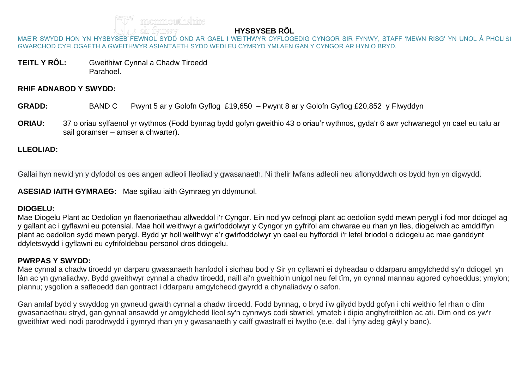# **HYSBYSEB RÔL**

MAE'R SWYDD HON YN HYSBYSEB FEWNOL SYDD OND AR GAEL I WEITHWYR CYFLOGEDIG CYNGOR SIR FYNWY, STAFF 'MEWN RISG' YN UNOL Â PHOLISI GWARCHOD CYFLOGAETH A GWEITHWYR ASIANTAETH SYDD WEDI EU CYMRYD YMLAEN GAN Y CYNGOR AR HYN O BRYD.

**TEITL Y RÔL:** Gweithiwr Cynnal a Chadw Tiroedd Parahoel.

#### **RHIF ADNABOD Y SWYDD:**

# **GRADD:** BAND C Pwynt 5 ar y Golofn Gyflog £19,650 – Pwynt 8 ar y Golofn Gyflog £20,852 y Flwyddyn

**ORIAU:** 37 o oriau sylfaenol yr wythnos (Fodd bynnag bydd gofyn gweithio 43 o oriau'r wythnos, gyda'r 6 awr ychwanegol yn cael eu talu ar sail goramser – amser a chwarter).

### **LLEOLIAD:**

Gallai hyn newid yn y dyfodol os oes angen adleoli lleoliad y gwasanaeth. Ni thelir lwfans adleoli neu aflonyddwch os bydd hyn yn digwydd.

**ASESIAD IAITH GYMRAEG:** Mae sgiliau iaith Gymraeg yn ddymunol.

#### **DIOGELU:**

Mae Diogelu Plant ac Oedolion yn flaenoriaethau allweddol i'r Cyngor. Ein nod yw cefnogi plant ac oedolion sydd mewn perygl i fod mor ddiogel ag y gallant ac i gyflawni eu potensial. Mae holl weithwyr a gwirfoddolwyr y Cyngor yn gyfrifol am chwarae eu rhan yn lles, diogelwch ac amddiffyn plant ac oedolion sydd mewn perygl. Bydd yr holl weithwyr a'r gwirfoddolwyr yn cael eu hyfforddi i'r lefel briodol o ddiogelu ac mae ganddynt ddyletswydd i gyflawni eu cyfrifoldebau personol dros ddiogelu.

# **PWRPAS Y SWYDD:**

Mae cynnal a chadw tiroedd yn darparu gwasanaeth hanfodol i sicrhau bod y Sir yn cyflawni ei dyheadau o ddarparu amgylchedd sy'n ddiogel, yn lân ac yn gynaliadwy. Bydd gweithwyr cynnal a chadw tiroedd, naill ai'n gweithio'n unigol neu fel tîm, yn cynnal mannau agored cyhoeddus; ymylon; plannu; ysgolion a safleoedd dan gontract i ddarparu amgylchedd gwyrdd a chynaliadwy o safon.

Gan amlaf bydd y swyddog yn gwneud gwaith cynnal a chadw tiroedd. Fodd bynnag, o bryd i'w gilydd bydd gofyn i chi weithio fel rhan o dîm gwasanaethau stryd, gan gynnal ansawdd yr amgylchedd lleol sy'n cynnwys codi sbwriel, ymateb i dipio anghyfreithlon ac ati. Dim ond os yw'r gweithiwr wedi nodi parodrwydd i gymryd rhan yn y gwasanaeth y caiff gwastraff ei lwytho (e.e. dal i fyny adeg gŵyl y banc).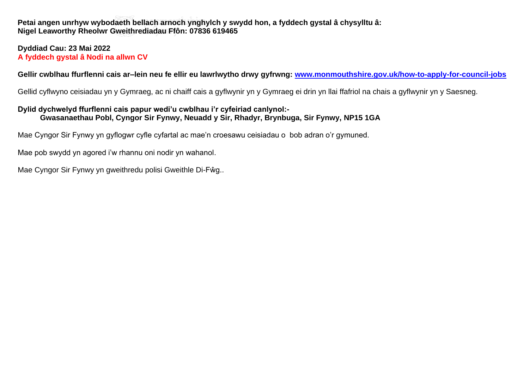## **Petai angen unrhyw wybodaeth bellach arnoch ynghylch y swydd hon, a fyddech gystal â chysylltu â: Nigel Leaworthy Rheolwr Gweithrediadau Ffôn: 07836 619465**

#### **Dyddiad Cau: 23 Mai 2022 A fyddech gystal â Nodi na allwn CV**

# **Gellir cwblhau ffurflenni cais ar–lein neu fe ellir eu lawrlwytho drwy gyfrwng: [www.monmouthshire.gov.uk/how-to-apply-for-council-jobs](http://www.monmouthshire.gov.uk/how-to-apply-for-council-jobs)**

Gellid cyflwyno ceisiadau yn y Gymraeg, ac ni chaiff cais a gyflwynir yn y Gymraeg ei drin yn llai ffafriol na chais a gyflwynir yn y Saesneg.

# **Dylid dychwelyd ffurflenni cais papur wedi'u cwblhau i'r cyfeiriad canlynol:- Gwasanaethau Pobl, Cyngor Sir Fynwy, Neuadd y Sir, Rhadyr, Brynbuga, Sir Fynwy, NP15 1GA**

Mae Cyngor Sir Fynwy yn gyflogwr cyfle cyfartal ac mae'n croesawu ceisiadau o bob adran o'r gymuned.

Mae pob swydd yn agored i'w rhannu oni nodir yn wahanol.

Mae Cyngor Sir Fynwy yn gweithredu polisi Gweithle Di-Fŵg..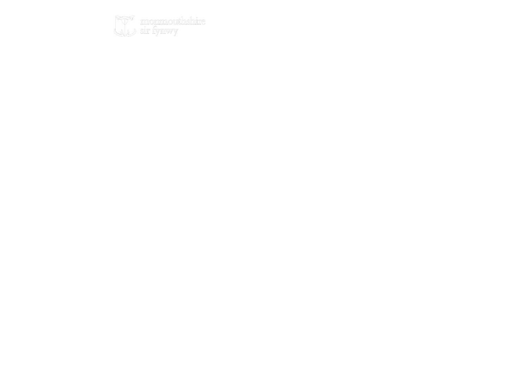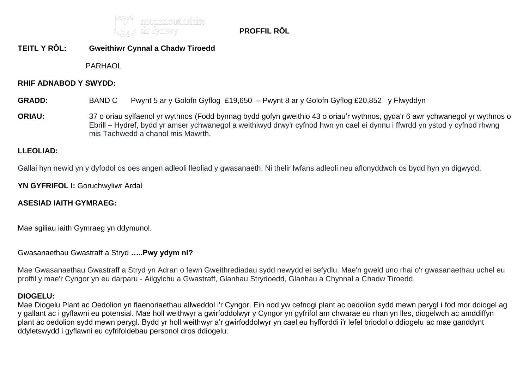

# **PROFFIL RÔL**

### **TEITL Y RÔL: Gweithiwr Cynnal a Chadw Tiroedd**

PARHAOL

#### **RHIF ADNABOD Y SWYDD:**

# **GRADD:** BAND C Pwynt 5 ar y Golofn Gyflog £19,650 – Pwynt 8 ar y Golofn Gyflog £20,852 y Flwyddyn

**ORIAU:** 37 o oriau sylfaenol yr wythnos (Fodd bynnag bydd gofyn gweithio 43 o oriau'r wythnos, gyda'r 6 awr ychwanegol yr wythnos o Ebrill – Hydref, bydd yr amser ychwanegol a weithiwyd drwy'r cyfnod hwn yn cael ei dynnu i ffwrdd yn ystod y cyfnod rhwng mis Tachwedd a chanol mis Mawrth.

### **LLEOLIAD:**

Gallai hyn newid yn y dyfodol os oes angen adleoli lleoliad y gwasanaeth. Ni thelir lwfans adleoli neu aflonyddwch os bydd hyn yn digwydd.

YN GYFRIFOL I: Goruchwyliwr Ardal

#### **ASESIAD IAITH GYMRAEG:**

Mae sgiliau iaith Gymraeg yn ddymunol.

#### Gwasanaethau Gwastraff a Stryd **…..Pwy ydym ni?**

Mae Gwasanaethau Gwastraff a Stryd yn Adran o fewn Gweithrediadau sydd newydd ei sefydlu. Mae'n gweld uno rhai o'r gwasanaethau uchel eu proffil y mae'r Cyngor yn eu darparu - Ailgylchu a Gwastraff, Glanhau Strydoedd, Glanhau a Chynnal a Chadw Tiroedd.

#### **DIOGELU:**

Mae Diogelu Plant ac Oedolion yn flaenoriaethau allweddol i'r Cyngor. Ein nod yw cefnogi plant ac oedolion sydd mewn perygl i fod mor ddiogel ag y gallant ac i gyflawni eu potensial. Mae holl weithwyr a gwirfoddolwyr y Cyngor yn gyfrifol am chwarae eu rhan yn lles, diogelwch ac amddiffyn plant ac oedolion sydd mewn perygl. Bydd yr holl weithwyr a'r gwirfoddolwyr yn cael eu hyfforddi i'r lefel briodol o ddiogelu ac mae ganddynt ddyletswydd i gyflawni eu cyfrifoldebau personol dros ddiogelu.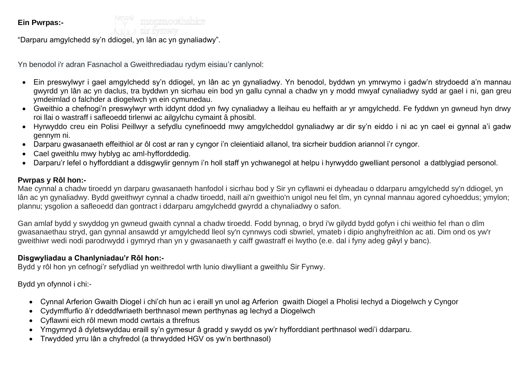## **Ein Pwrpas:-**

"Darparu amgylchedd sy'n ddiogel, yn lân ac yn gynaliadwy".

Yn benodol i'r adran Fasnachol a Gweithrediadau rydym eisiau'r canlynol:

- Ein preswylwyr i gael amgylchedd sy'n ddiogel, yn lân ac yn gynaliadwy. Yn benodol, byddwn yn ymrwymo i gadw'n strydoedd a'n mannau gwyrdd yn lân ac yn daclus, tra byddwn yn sicrhau ein bod yn gallu cynnal a chadw yn y modd mwyaf cynaliadwy sydd ar gael i ni, gan greu ymdeimlad o falchder a diogelwch yn ein cymunedau.
- Gweithio a chefnogi'n preswylwyr wrth iddynt ddod yn fwy cynaliadwy a lleihau eu heffaith ar yr amgylchedd. Fe fyddwn yn gwneud hyn drwy roi llai o wastraff i safleoedd tirlenwi ac ailgylchu cymaint â phosibl.
- Hyrwyddo creu ein Polisi Peillwyr a sefydlu cynefinoedd mwy amgylcheddol gynaliadwy ar dir sy'n eiddo i ni ac yn cael ei gynnal a'i gadw gennym ni.
- Darparu gwasanaeth effeithiol ar ôl cost ar ran y cyngor i'n cleientiaid allanol, tra sicrheir buddion ariannol i'r cyngor.
- Cael gweithlu mwy hyblyg ac aml-hyfforddedig.
- Darparu'r lefel o hyfforddiant a ddisgwylir gennym i'n holl staff yn ychwanegol at helpu i hyrwyddo gwelliant personol a datblygiad personol.

# **Pwrpas y Rôl hon:-**

Mae cynnal a chadw tiroedd yn darparu gwasanaeth hanfodol i sicrhau bod y Sir yn cyflawni ei dyheadau o ddarparu amgylchedd sy'n ddiogel, yn lân ac yn gynaliadwy. Bydd gweithwyr cynnal a chadw tiroedd, naill ai'n gweithio'n unigol neu fel tîm, yn cynnal mannau agored cyhoeddus; ymylon; plannu; ysgolion a safleoedd dan gontract i ddarparu amgylchedd gwyrdd a chynaliadwy o safon.

Gan amlaf bydd y swyddog yn gwneud gwaith cynnal a chadw tiroedd. Fodd bynnag, o bryd i'w gilydd bydd gofyn i chi weithio fel rhan o dîm gwasanaethau stryd, gan gynnal ansawdd yr amgylchedd lleol sy'n cynnwys codi sbwriel, ymateb i dipio anghyfreithlon ac ati. Dim ond os yw'r gweithiwr wedi nodi parodrwydd i gymryd rhan yn y gwasanaeth y caiff gwastraff ei lwytho (e.e. dal i fyny adeg gŵyl y banc).

# **Disgwyliadau a Chanlyniadau'r Rôl hon:-**

Bydd y rôl hon yn cefnogi'r sefydliad yn weithredol wrth lunio diwylliant a gweithlu Sir Fynwy.

Bydd yn ofynnol i chi:-

- Cynnal Arferion Gwaith Diogel i chi'ch hun ac i eraill yn unol ag Arferion gwaith Diogel a Pholisi Iechyd a Diogelwch y Cyngor
- Cydymffurfio â'r ddeddfwriaeth berthnasol mewn perthynas ag Iechyd a Diogelwch
- Cyflawni eich rôl mewn modd cwrtais a threfnus
- Ymgymryd â dyletswyddau eraill sy'n gymesur â gradd y swydd os yw'r hyfforddiant perthnasol wedi'i ddarparu.
- Trwydded yrru lân a chyfredol (a thrwydded HGV os yw'n berthnasol)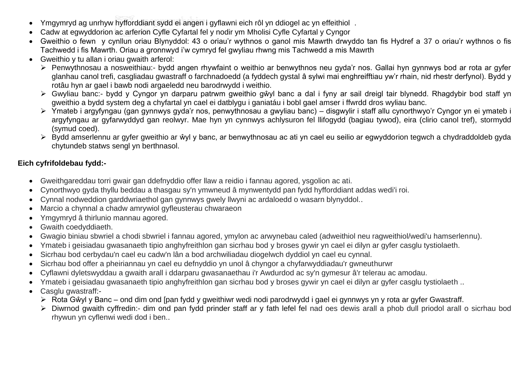- Ymgymryd ag unrhyw hyfforddiant sydd ei angen i gyflawni eich rôl yn ddiogel ac yn effeithiol .
- Cadw at egwyddorion ac arferion Cyfle Cyfartal fel y nodir ym Mholisi Cyfle Cyfartal y Cyngor
- Gweithio o fewn y cynllun oriau Blynyddol: 43 o oriau'r wythnos o ganol mis Mawrth drwyddo tan fis Hydref a 37 o oriau'r wythnos o fis Tachwedd i fis Mawrth. Oriau a gronnwyd i'w cymryd fel gwyliau rhwng mis Tachwedd a mis Mawrth
- Gweithio y tu allan i oriau gwaith arferol:
	- ➢ Penwythnosau a nosweithiau:- bydd angen rhywfaint o weithio ar benwythnos neu gyda'r nos. Gallai hyn gynnwys bod ar rota ar gyfer glanhau canol trefi, casgliadau gwastraff o farchnadoedd (a fyddech gystal â sylwi mai enghreifftiau yw'r rhain, nid rhestr derfynol). Bydd y rotâu hyn ar gael i bawb nodi argaeledd neu barodrwydd i weithio.
	- ➢ Gwyliau banc:- bydd y Cyngor yn darparu patrwm gweithio gŵyl banc a dal i fyny ar sail dreigl tair blynedd. Rhagdybir bod staff yn gweithio a bydd system deg a chyfartal yn cael ei datblygu i ganiatáu i bobl gael amser i ffwrdd dros wyliau banc.
	- ➢ Ymateb i argyfyngau (gan gynnwys gyda'r nos, penwythnosau a gwyliau banc) disgwylir i staff allu cynorthwyo'r Cyngor yn ei ymateb i argyfyngau ar gyfarwyddyd gan reolwyr. Mae hyn yn cynnwys achlysuron fel llifogydd (bagiau tywod), eira (clirio canol tref), stormydd (symud coed).
	- ➢ Bydd amserlennu ar gyfer gweithio ar ŵyl y banc, ar benwythnosau ac ati yn cael eu seilio ar egwyddorion tegwch a chydraddoldeb gyda chytundeb statws sengl yn berthnasol.

# **Eich cyfrifoldebau fydd:-**

- Gweithgareddau torri gwair gan ddefnyddio offer llaw a reidio i fannau agored, ysgolion ac ati.
- Cynorthwyo gyda thyllu beddau a thasgau sy'n ymwneud â mynwentydd pan fydd hyfforddiant addas wedi'i roi.
- Cynnal nodweddion garddwriaethol gan gynnwys gwely llwyni ac ardaloedd o wasarn blynyddol..
- Marcio a chynnal a chadw amrywiol gyfleusterau chwaraeon
- Ymgymryd â thirlunio mannau agored.
- Gwaith coedyddiaeth.
- Gwagio biniau sbwriel a chodi sbwriel i fannau agored, ymylon ac arwynebau caled (adweithiol neu ragweithiol/wedi'u hamserlennu).
- Ymateb i geisiadau gwasanaeth tipio anghyfreithlon gan sicrhau bod y broses gywir yn cael ei dilyn ar gyfer casglu tystiolaeth.
- Sicrhau bod cerbydau'n cael eu cadw'n lân a bod archwiliadau diogelwch dyddiol yn cael eu cynnal.
- Sicrhau bod offer a pheiriannau yn cael eu defnyddio yn unol â chyngor a chyfarwyddiadau'r gwneuthurwr
- Cyflawni dyletswyddau a gwaith arall i ddarparu gwasanaethau i'r Awdurdod ac sy'n gymesur â'r telerau ac amodau.
- Ymateb i geisiadau gwasanaeth tipio anghyfreithlon gan sicrhau bod y broses gywir yn cael ei dilyn ar gyfer casglu tystiolaeth ..
- Casglu gwastraff:-
	- ➢ Rota Gŵyl y Banc ond dim ond [pan fydd y gweithiwr wedi nodi parodrwydd i gael ei gynnwys yn y rota ar gyfer Gwastraff.
	- ➢ Diwrnod gwaith cyffredin:- dim ond pan fydd prinder staff ar y fath lefel fel nad oes dewis arall a phob dull priodol arall o sicrhau bod rhywun yn cyflenwi wedi dod i ben..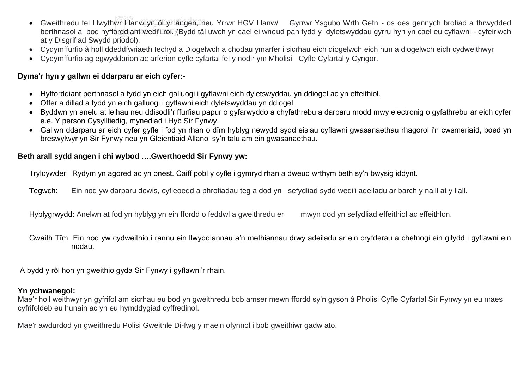- Gweithredu fel Llwythwr Llanw yn ôl yr angen, neu Yrrwr HGV Llanw/ Gyrrwr Ysgubo Wrth Gefn os oes gennych brofiad a thrwydded berthnasol a bod hyfforddiant wedi'i roi. (Bydd tâl uwch yn cael ei wneud pan fydd y dyletswyddau gyrru hyn yn cael eu cyflawni - cyfeiriwch at y Disgrifiad Swydd priodol).
- Cydymffurfio â holl ddeddfwriaeth Iechyd a Diogelwch a chodau ymarfer i sicrhau eich diogelwch eich hun a diogelwch eich cydweithwyr
- Cydymffurfio ag egwyddorion ac arferion cyfle cyfartal fel y nodir ym Mholisi Cyfle Cyfartal y Cyngor.

# **Dyma'r hyn y gallwn ei ddarparu ar eich cyfer:-**

- Hyfforddiant perthnasol a fydd yn eich galluogi i gyflawni eich dyletswyddau yn ddiogel ac yn effeithiol.
- Offer a dillad a fydd yn eich galluogi i gyflawni eich dyletswyddau yn ddiogel.
- Byddwn yn anelu at leihau neu ddisodli'r ffurfiau papur o gyfarwyddo a chyfathrebu a darparu modd mwy electronig o gyfathrebu ar eich cyfer e.e. Y person Cysylltiedig, mynediad i Hyb Sir Fynwy.
- Gallwn ddarparu ar eich cyfer gyfle i fod yn rhan o dîm hyblyg newydd sydd eisiau cyflawni gwasanaethau rhagorol i'n cwsmeriaid, boed yn breswylwyr yn Sir Fynwy neu yn Gleientiaid Allanol sy'n talu am ein gwasanaethau.

# **Beth arall sydd angen i chi wybod ….Gwerthoedd Sir Fynwy yw:**

Tryloywder: Rydym yn agored ac yn onest. Caiff pobl y cyfle i gymryd rhan a dweud wrthym beth sy'n bwysig iddynt.

Tegwch: Ein nod yw darparu dewis, cyfleoedd a phrofiadau teg a dod yn sefydliad sydd wedi'i adeiladu ar barch y naill at y llall.

Hyblygrwydd: Anelwn at fod yn hyblyg yn ein ffordd o feddwl a gweithredu er mwyn dod yn sefydliad effeithiol ac effeithlon.

Gwaith Tîm Ein nod yw cydweithio i rannu ein llwyddiannau a'n methiannau drwy adeiladu ar ein cryfderau a chefnogi ein gilydd i gyflawni ein nodau.

A bydd y rôl hon yn gweithio gyda Sir Fynwy i gyflawni'r rhain.

# **Yn ychwanegol:**

Mae'r holl weithwyr yn gyfrifol am sicrhau eu bod yn gweithredu bob amser mewn ffordd sy'n gyson â Pholisi Cyfle Cyfartal Sir Fynwy yn eu maes cyfrifoldeb eu hunain ac yn eu hymddygiad cyffredinol.

Mae'r awdurdod yn gweithredu Polisi Gweithle Di-fwg y mae'n ofynnol i bob gweithiwr gadw ato.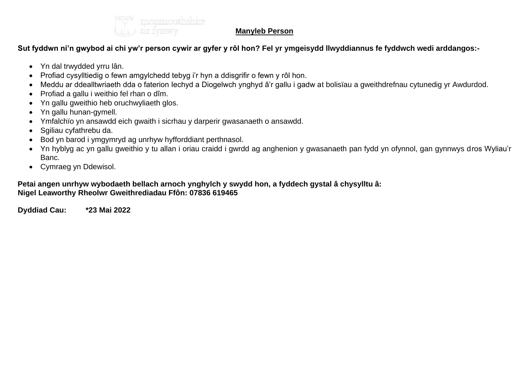# **Manyleb Person**

# **Sut fyddwn ni'n gwybod ai chi yw'r person cywir ar gyfer y rôl hon? Fel yr ymgeisydd llwyddiannus fe fyddwch wedi arddangos:-**

- Yn dal trwydded yrru lân.
- Profiad cysylltiedig o fewn amgylchedd tebyg i'r hyn a ddisgrifir o fewn y rôl hon.
- Meddu ar ddealltwriaeth dda o faterion Iechyd a Diogelwch ynghyd â'r gallu i gadw at bolisïau a gweithdrefnau cytunedig yr Awdurdod.
- Profiad a gallu i weithio fel rhan o dîm.
- Yn gallu gweithio heb oruchwyliaeth glos.
- Yn gallu hunan-gymell.
- Ymfalchïo yn ansawdd eich gwaith i sicrhau y darperir gwasanaeth o ansawdd.
- Sgiliau cyfathrebu da.
- Bod yn barod i ymgymryd ag unrhyw hyfforddiant perthnasol.
- Yn hyblyg ac yn gallu gweithio y tu allan i oriau craidd i gwrdd ag anghenion y gwasanaeth pan fydd yn ofynnol, gan gynnwys dros Wyliau'r Banc.
- Cymraeg yn Ddewisol.

### **Petai angen unrhyw wybodaeth bellach arnoch ynghylch y swydd hon, a fyddech gystal â chysylltu â: Nigel Leaworthy Rheolwr Gweithrediadau Ffôn: 07836 619465**

**Dyddiad Cau: \*23 Mai 2022**